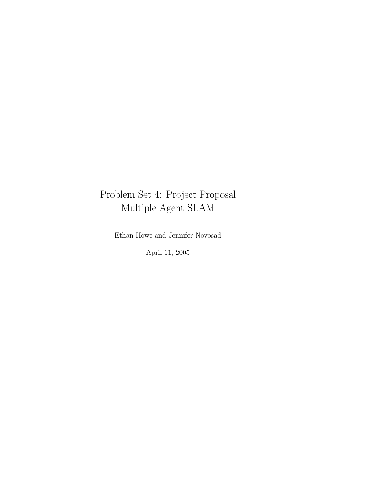# Problem Set 4: Project Proposal Multiple Agent SLAM

Ethan Howe and Jennifer Novosad

April 11, 2005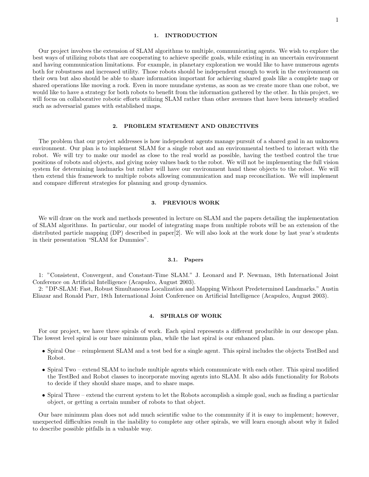## 1. INTRODUCTION

Our project involves the extension of SLAM algorithms to multiple, communicating agents. We wish to explore the best ways of utilizing robots that are cooperating to achieve specific goals, while existing in an uncertain environment and having communication limitations. For example, in planetary exploration we would like to have numerous agents both for robustness and increased utility. Those robots should be independent enough to work in the environment on their own but also should be able to share information important for achieving shared goals like a complete map or shared operations like moving a rock. Even in more mundane systems, as soon as we create more than one robot, we would like to have a strategy for both robots to benefit from the information gathered by the other. In this project, we will focus on collaborative robotic efforts utilizing SLAM rather than other avenues that have been intensely studied such as adversarial games with established maps.

## 2. PROBLEM STATEMENT AND OBJECTIVES

The problem that our project addresses is how independent agents manage pursuit of a shared goal in an unknown environment. Our plan is to implement SLAM for a single robot and an environmental testbed to interact with the robot. We will try to make our model as close to the real world as possible, having the testbed control the true positions of robots and objects, and giving noisy values back to the robot. We will not be implementing the full vision system for determining landmarks but rather will have our environment hand these objects to the robot. We will then extend this framework to multiple robots allowing communication and map reconciliation. We will implement and compare different strategies for planning and group dynamics.

# 3. PREVIOUS WORK

We will draw on the work and methods presented in lecture on SLAM and the papers detailing the implementation of SLAM algorithms. In particular, our model of integrating maps from multiple robots will be an extension of the distributed particle mapping  $(DP)$  described in paper $[2]$ . We will also look at the work done by last year's students in their presentation "SLAM for Dummies".

#### 3.1. Papers

1: "Consistent, Convergent, and Constant-Time SLAM." J. Leonard and P. Newman, 18th International Joint Conference on Artificial Intelligence (Acapulco, August 2003).

2: "DP-SLAM: Fast, Robust Simultaneous Localization and Mapping Without Predetermined Landmarks." Austin Eliazar and Ronald Parr, 18th International Joint Conference on Artificial Intelligence (Acapulco, August 2003).

### 4. SPIRALS OF WORK

For our project, we have three spirals of work. Each spiral represents a different producible in our descope plan. The lowest level spiral is our bare minimum plan, while the last spiral is our enhanced plan.

- Spiral One reimplement SLAM and a test bed for a single agent. This spiral includes the objects TestBed and Robot.
- Spiral Two extend SLAM to include multiple agents which communicate with each other. This spiral modified the TestBed and Robot classes to incorporate moving agents into SLAM. It also adds functionality for Robots to decide if they should share maps, and to share maps.
- Spiral Three extend the current system to let the Robots accomplish a simple goal, such as finding a particular object, or getting a certain number of robots to that object.

Our bare minimum plan does not add much scientific value to the community if it is easy to implement; however, unexpected difficulties result in the inability to complete any other spirals, we will learn enough about why it failed to describe possible pitfalls in a valuable way.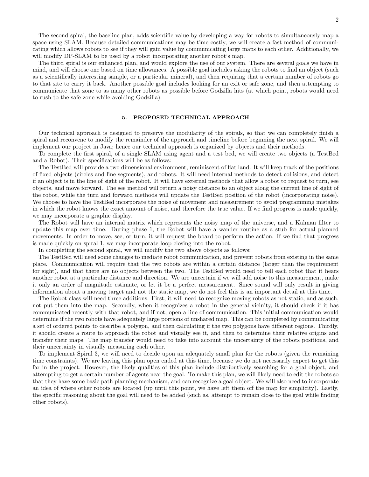The second spiral, the baseline plan, adds scientific value by developing a way for robots to simultaneously map a space using SLAM. Because detailed communications may be time costly, we will create a fast method of communicating which allows robots to see if they will gain value by communicating large maps to each other. Additionally, we will modify DP-SLAM to be used by a robot incorporating another robot's map.

The third spiral is our enhanced plan, and would explore the use of our system. There are several goals we have in mind, and will choose one based on time allowances. A possible goal includes asking the robots to find an object (such as a scientifically interesting sample, or a particular mineral), and then requiring that a certain number of robots go to that site to carry it back. Another possible goal includes looking for an exit or safe zone, and then attempting to communicate that zone to as many other robots as possible before Godzilla hits (at which point, robots would need to rush to the safe zone while avoiding Godzilla).

#### 5. PROPOSED TECHNICAL APPROACH

Our technical approach is designed to preserve the modularity of the spirals, so that we can completely finish a spiral and reconvene to modify the remainder of the approach and timeline before beginning the next spiral. We will implement our project in Java; hence our technical approach is organized by objects and their methods.

To complete the first spiral, of a single SLAM using agent and a test bed, we will create two objects (a TestBed and a Robot). Their specifications will be as follows:

The TestBed will provide a two dimensional environment, reminiscent of flat land. It will keep track of the positions of fixed objects (circles and line segments), and robots. It will need internal methods to detect collisions, and detect if an object is in the line of sight of the robot. It will have external methods that allow a robot to request to turn, see objects, and move forward. The see method will return a noisy distance to an object along the current line of sight of the robot, while the turn and forward methods will update the TestBed position of the robot (incorporating noise). We choose to have the TestBed incorporate the noise of movement and measurement to avoid programming mistakes in which the robot knows the exact amount of noise, and therefore the true value. If we find progress is made quickly, we may incorporate a graphic display.

The Robot will have an internal matrix which represents the noisy map of the universe, and a Kalman filter to update this map over time. During phase 1, the Robot will have a wander routine as a stub for actual planned movements. In order to move, see, or turn, it will request the board to perform the action. If we find that progress is made quickly on spiral 1, we may incorporate loop closing into the robot.

In completing the second spiral, we will modify the two above objects as follows:

The TestBed will need some changes to mediate robot communication, and prevent robots from existing in the same place. Communication will require that the two robots are within a certain distance (larger than the requirement for sight), and that there are no objects between the two. The TestBed would need to tell each robot that it hears another robot at a particular distance and direction. We are uncertain if we will add noise to this measurement, make it only an order of magnitude estimate, or let it be a perfect measurement. Since sound will only result in giving information about a moving target and not the static map, we do not feel this is an important detail at this time.

The Robot class will need three additions. First, it will need to recognize moving robots as not static, and as such, not put them into the map. Secondly, when it recognizes a robot in the general vicinity, it should check if it has communicated recently with that robot, and if not, open a line of communication. This initial communication would determine if the two robots have adequately large portions of unshared map. This can be completed by communicating a set of ordered points to describe a polygon, and then calculating if the two polygons have different regions. Thirdly, it should create a route to approach the robot and visually see it, and then to determine their relative origins and transfer their maps. The map transfer would need to take into account the uncertainty of the robots positions, and their uncertainty in visually measuring each other.

To implement Spiral 3, we will need to decide upon an adequately small plan for the robots (given the remaining time constraints). We are leaving this plan open ended at this time, because we do not necessarily expect to get this far in the project. However, the likely qualities of this plan include distributively searching for a goal object, and attempting to get a certain number of agents near the goal. To make this plan, we will likely need to edit the robots so that they have some basic path planning mechanism, and can recognize a goal object. We will also need to incorporate an idea of where other robots are located (up until this point, we have left them off the map for simplicity). Lastly, the specific reasoning about the goal will need to be added (such as, attempt to remain close to the goal while finding other robots).